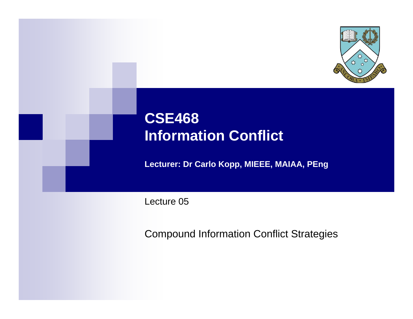

# **CSE468 Information Conflict**

**Lecturer: Dr Carlo Kopp, MIEEE, MAIAA, PEng**

Lecture 05

Compound Information Conflict Strategies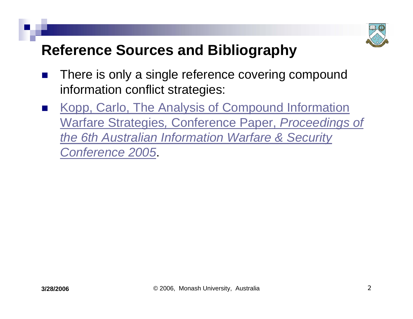

# **Reference Sources and Bibliography**

- $\mathbb{R}^3$  There is only a single reference covering compound information conflict strategies:
- $\mathbb{R}^3$  [Kopp, Carlo, The Analysis of Compound Information](http://www.csse.monash.edu.au/courseware/cse468/Lextures/Method-IWC6-05.pdf)  Warfare Strategies*,* [Conference Paper,](http://www.csse.monash.edu.au/courseware/cse468/Lextures/Method-IWC6-05.pdf) *Proceedings of [the 6th Australian Information Warfare & Security](http://www.csse.monash.edu.au/courseware/cse468/Lextures/Method-IWC6-05.pdf)  [Conference 2005](http://www.csse.monash.edu.au/courseware/cse468/Lextures/Method-IWC6-05.pdf)*[.](http://www.csse.monash.edu.au/courseware/cse468/Lextures/Method-IWC6-05.pdf)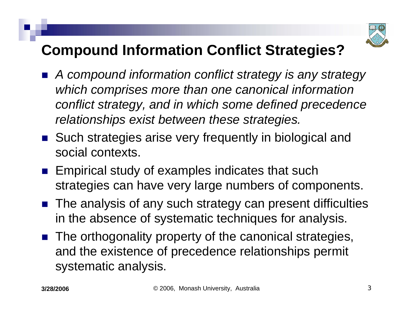

# **Compound Information Conflict Strategies?**

- $\mathbb{R}^3$  *A compound information conflict strategy is any strategy which comprises more than one canonical information conflict strategy, and in which some defined precedence relationships exist between these strategies.*
- Such strategies arise very frequently in biological and social contexts.
- **Empirical study of examples indicates that such** strategies can have very large numbers of components.
- The analysis of any such strategy can present difficulties in the absence of systematic techniques for analysis.
- **The orthogonality property of the canonical strategies,** and the existence of precedence relationships permit systematic analysis.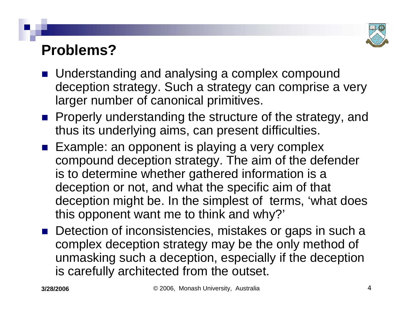

## **Problems?**

- Understanding and analysing a complex compound deception strategy. Such a strategy can comprise a very larger number of canonical primitives.
- **Properly understanding the structure of the strategy, and** thus its underlying aims, can present difficulties.
- $\blacksquare$  Example: an opponent is playing a very complex compound deception strategy. The aim of the defender is to determine whether gathered information is a deception or not, and what the specific aim of that deception might be. In the simplest of terms, 'what does this opponent want me to think and why?'
- Detection of inconsistencies, mistakes or gaps in such a complex deception strategy may be the only method of unmasking such a deception, especially if the deception is carefully architected from the outset.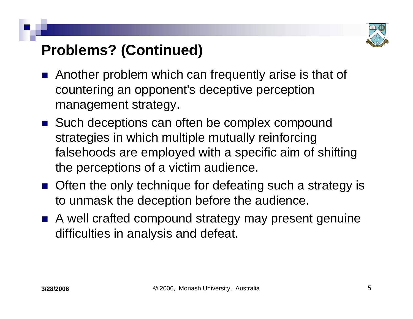

# **Problems? (Continued)**

- $\mathbb{R}^3$  Another problem which can frequently arise is that of countering an opponent's deceptive perception management strategy.
- Such deceptions can often be complex compound strategies in which multiple mutually reinforcing falsehoods are employed with a specific aim of shifting the perceptions of a victim audience.
- **Often the only technique for defeating such a strategy is** to unmask the deception before the audience.
- A well crafted compound strategy may present genuine difficulties in analysis and defeat.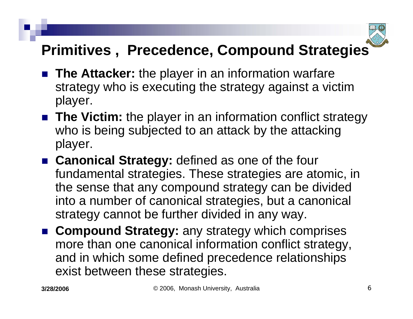

# **Primitives , Precedence, Compound Strategies**

- **The Attacker:** the player in an information warfare strategy who is executing the strategy against a victim player.
- **The Victim:** the player in an information conflict strategy who is being subjected to an attack by the attacking player.
- **Canonical Strategy:** defined as one of the four fundamental strategies. These strategies are atomic, in the sense that any compound strategy can be divided into a number of canonical strategies, but a canonical strategy cannot be further divided in any way.
- **E** Compound Strategy: any strategy which comprises more than one canonical information conflict strategy, and in which some defined precedence relationships exist between these strategies.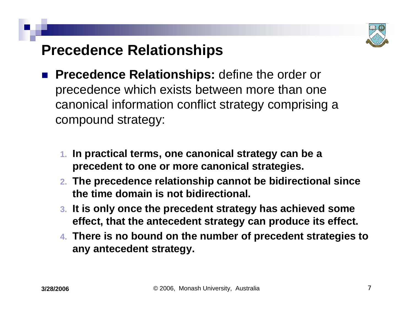

# **Precedence Relationships**

- $\mathbb{R}^3$  **Precedence Relationships:** define the order or precedence which exists between more than one canonical information conflict strategy comprising a compound strategy:
	- **1. In practical terms, one canonical strategy can be a precedent to one or more canonical strategies.**
	- **2. The precedence relationship cannot be bidirectional since the time domain is not bidirectional.**
	- **3. It is only once the precedent strategy has achieved some effect, that the antecedent strategy can produce its effect.**
	- **4. There is no bound on the number of precedent strategies to any antecedent strategy.**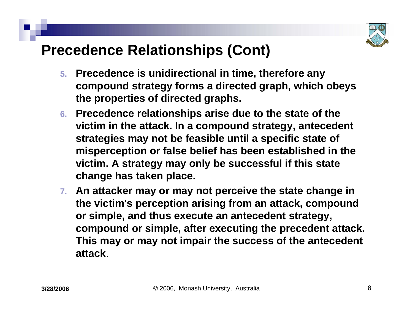

## **Precedence Relationships (Cont)**

- **5. Precedence is unidirectional in time, therefore any compound strategy forms a directed graph, which obeys the properties of directed graphs.**
- **6. Precedence relationships arise due to the state of the victim in the attack. In a compound strategy, antecedent strategies may not be feasible until a specific state of misperception or false belief has been established in the victim. A strategy may only be successful if this state change has taken place.**
- **7. An attacker may or may not perceive the state change in the victim's perception arising from an attack, compound or simple, and thus execute an antecedent strategy, compound or simple, after executing the precedent attack. This may or may not impair the success of the antecedent attack**.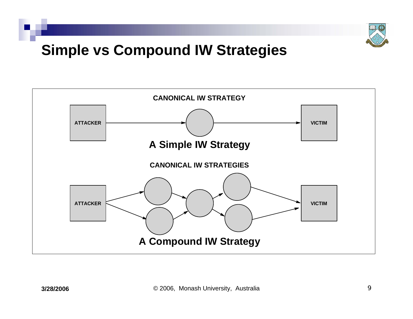

# **Simple vs Compound IW Strategies**

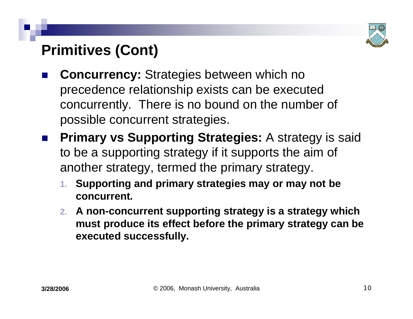

# **Primitives (Cont)**

- $\mathbb{R}^3$  **Concurrency:** Strategies between which no precedence relationship exists can be executed concurrently. There is no bound on the number of possible concurrent strategies.
- $\mathbb{R}^3$  **Primary vs Supporting Strategies:** A strategy is said to be a supporting strategy if it supports the aim of another strategy, termed the primary strategy.
	- **1. Supporting and primary strategies may or may not be concurrent.**
	- **2. A non-concurrent supporting strategy is a strategy which must produce its effect before the primary strategy can be executed successfully.**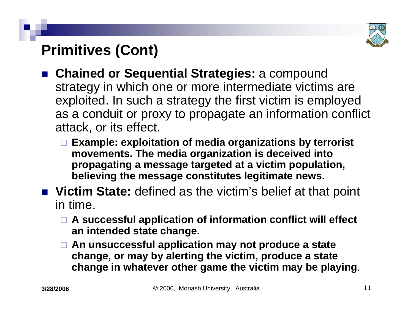

# **Primitives (Cont)**

- **Chained or Sequential Strategies:** a compound strategy in which one or more intermediate victims are exploited. In such a strategy the first victim is employed as a conduit or proxy to propagate an information conflict attack, or its effect.
	- **Example: exploitation of media organizations by terrorist movements. The media organization is deceived into propagating a message targeted at a victim population, believing the message constitutes legitimate news.**
- Victim State: defined as the victim's belief at that point in time.
	- **A successful application of information conflict will effect an intended state change.**
	- **An unsuccessful application may not produce a state change, or may by alerting the victim, produce a state change in whatever other game the victim may be playing**.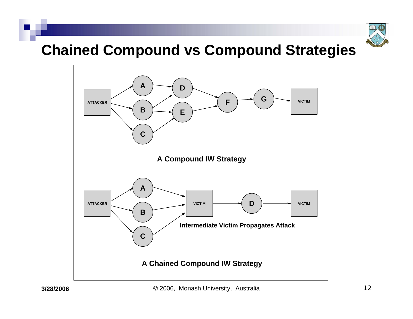

#### **Chained Compound vs Compound Strategies**

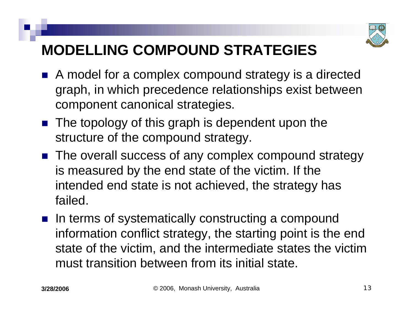

# **MODELLING COMPOUND STRATEGIES**

- A model for a complex compound strategy is a directed graph, in which precedence relationships exist between component canonical strategies.
- $\blacksquare$  The topology of this graph is dependent upon the structure of the compound strategy.
- The overall success of any complex compound strategy is measured by the end state of the victim. If the intended end state is not achieved, the strategy has failed.
- **n** In terms of systematically constructing a compound information conflict strategy, the starting point is the end state of the victim, and the intermediate states the victim must transition between from its initial state.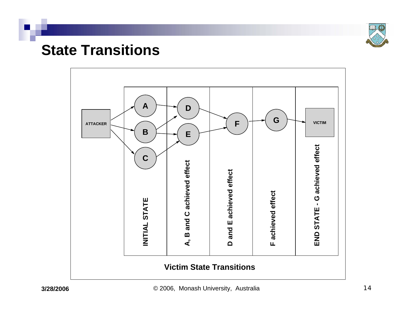

#### **State Transitions**

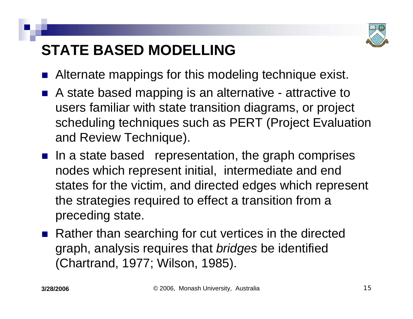

# **STATE BASED MODELLING**

- $\mathbb{R}^3$ Alternate mappings for this modeling technique exist.
- A state based mapping is an alternative attractive to users familiar with state transition diagrams, or project scheduling techniques such as PERT (Project Evaluation and Review Technique).
- $\blacksquare$  In a state based representation, the graph comprises nodes which represent initial, intermediate and end states for the victim, and directed edges which represent the strategies required to effect a transition from a preceding state.
- Rather than searching for cut vertices in the directed graph, analysis requires that *bridges* be identified (Chartrand, 1977; Wilson, 1985).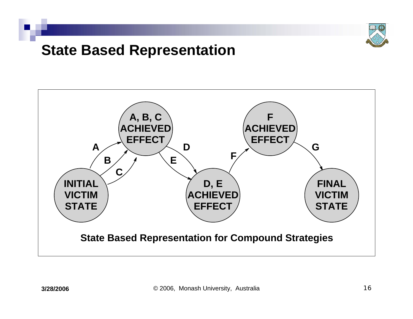

#### **State Based Representation**

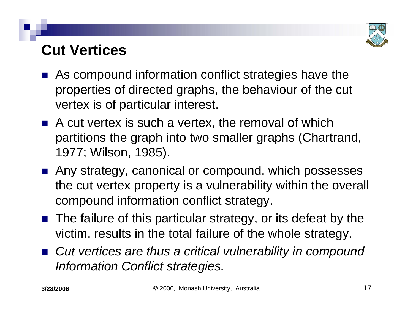

## **Cut Vertices**

- $\mathbb{R}^3$  As compound information conflict strategies have the properties of directed graphs, the behaviour of the cut vertex is of particular interest.
- $\blacksquare$  A cut vertex is such a vertex, the removal of which partitions the graph into two smaller graphs (Chartrand, 1977; Wilson, 1985).
- Any strategy, canonical or compound, which possesses the cut vertex property is a vulnerability within the overall compound information conflict strategy.
- The failure of this particular strategy, or its defeat by the victim, results in the total failure of the whole strategy.
- Cut vertices are thus a critical vulnerability in compound *Information Conflict strategies.*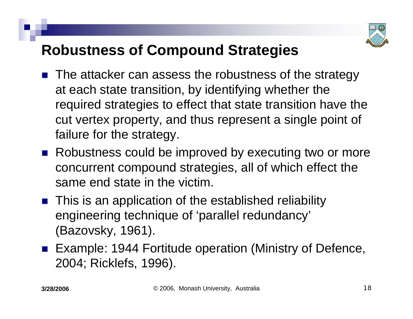

# **Robustness of Compound Strategies**

- $\mathbb{R}^3$  The attacker can assess the robustness of the strategy at each state transition, by identifying whether the required strategies to effect that state transition have the cut vertex property, and thus represent a single point of failure for the strategy.
- Robustness could be improved by executing two or more concurrent compound strategies, all of which effect the same end state in the victim.
- **This is an application of the established reliability** engineering technique of 'parallel redundancy' (Bazovsky, 1961).
- Example: 1944 Fortitude operation (Ministry of Defence, 2004; Ricklefs, 1996).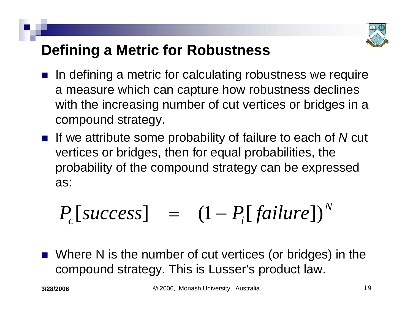

# **Defining a Metric for Robustness**

- $\mathbb{R}^3$  In defining a metric for calculating robustness we require a measure which can capture how robustness declines with the increasing number of cut vertices or bridges in a compound strategy.
- If we attribute some probability of failure to each of *N* cut vertices or bridges, then for equal probabilities, the probability of the compound strategy can be expressed as:

$$
P_c[success] = (1 - P_i[failure])^N
$$

 $\mathbb{R}^2$  Where N is the number of cut vertices (or bridges) in the compound strategy. This is Lusser's product law.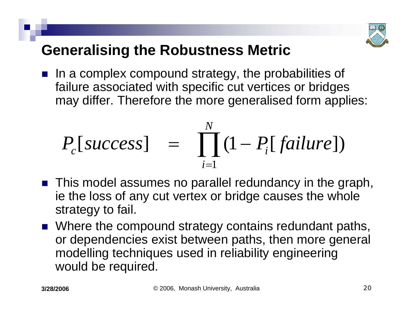

# **Generalising the Robustness Metric**

 $\blacksquare$  In a complex compound strategy, the probabilities of failure associated with specific cut vertices or bridges may differ. Therefore the more generalised form applies:

$$
P_c[success] = \prod_{i=1}^{N} (1 - P_i[failure])
$$

- This model assumes no parallel redundancy in the graph, ie the loss of any cut vertex or bridge causes the whole strategy to fail.
- Where the compound strategy contains redundant paths, or dependencies exist between paths, then more general modelling techniques used in reliability engineering would be required.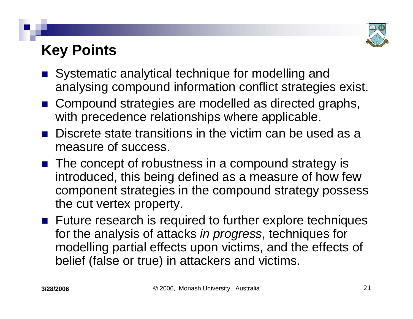

# **Key Points**

- Systematic analytical technique for modelling and analysing compound information conflict strategies exist.
- Compound strategies are modelled as directed graphs, with precedence relationships where applicable.
- **Discrete state transitions in the victim can be used as a** measure of success.
- The concept of robustness in a compound strategy is introduced, this being defined as a measure of how few component strategies in the compound strategy possess the cut vertex property.
- **Future research is required to further explore techniques** for the analysis of attacks *in progress*, techniques for modelling partial effects upon victims, and the effects of belief (false or true) in attackers and victims.